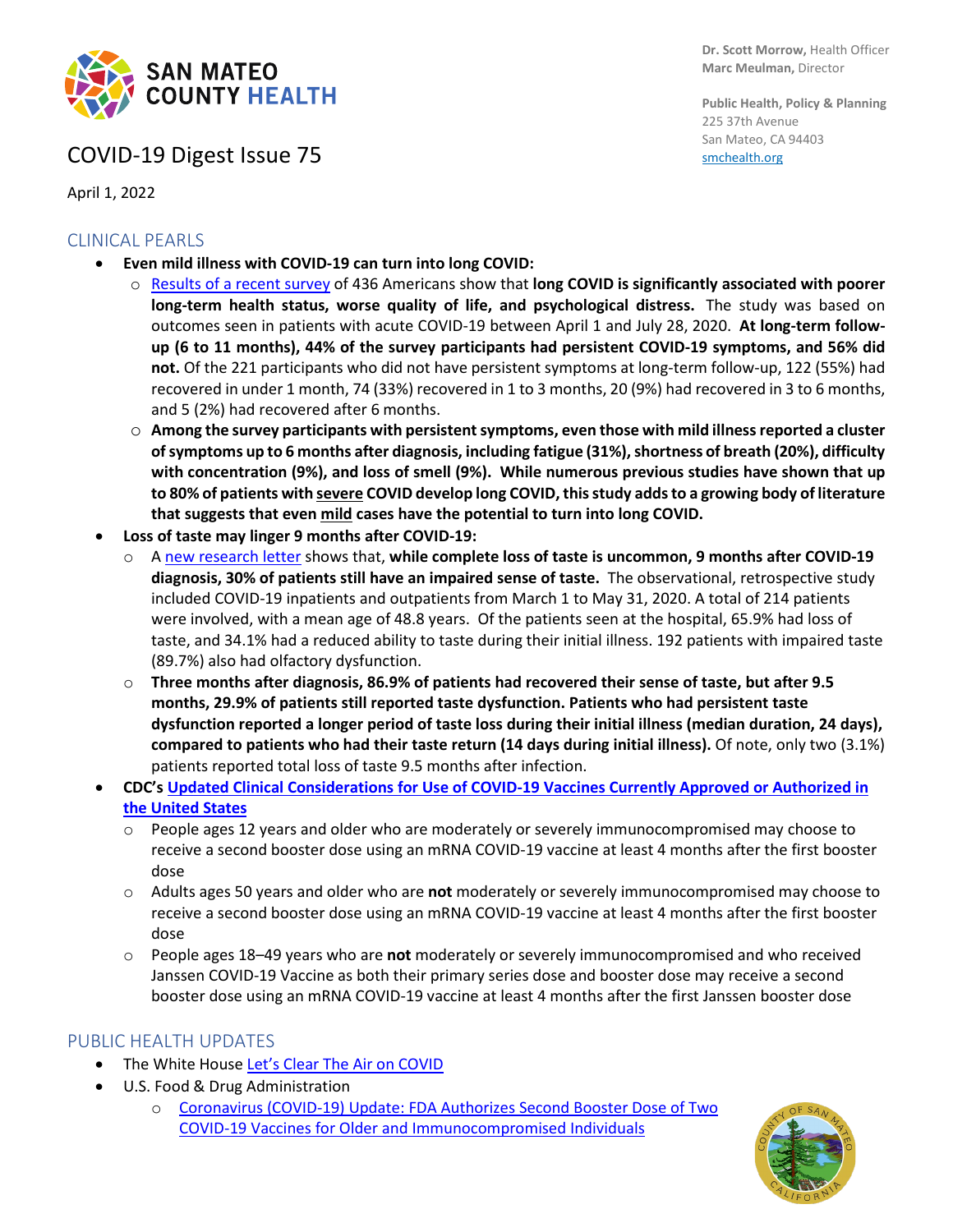

## COVID-19 Digest Issue 75

April 1, 2022

### CLINICAL PEARLS

- **Even mild illness with COVID-19 can turn into long COVID:**
	- o [Results of a recent survey](https://onlinelibrary.wiley.com/doi/10.1111/irv.12980) of 436 Americans show that **long COVID is significantly associated with poorer long-term health status, worse quality of life, and psychological distress.** The study was based on outcomes seen in patients with acute COVID-19 between April 1 and July 28, 2020. **At long-term followup (6 to 11 months), 44% of the survey participants had persistent COVID-19 symptoms, and 56% did not.** Of the 221 participants who did not have persistent symptoms at long-term follow-up, 122 (55%) had recovered in under 1 month, 74 (33%) recovered in 1 to 3 months, 20 (9%) had recovered in 3 to 6 months, and 5 (2%) had recovered after 6 months.
	- o **Among the survey participants with persistent symptoms, even those with mild illness reported a cluster of symptoms up to 6 months after diagnosis, including fatigue (31%), shortness of breath (20%), difficulty with concentration (9%), and loss of smell (9%). While numerous previous studies have shown that up to 80% of patients with severe COVID develop long COVID, this study adds to a growing body of literature that suggests that even mild cases have the potential to turn into long COVID.**
- **Loss of taste may linger 9 months after COVID-19:**
	- o A [new research letter](https://www.ijidonline.com/article/S1201-9712(22)00193-X/fulltext) shows that, **while complete loss of taste is uncommon, 9 months after COVID-19 diagnosis, 30% of patients still have an impaired sense of taste.** The observational, retrospective study included COVID-19 inpatients and outpatients from March 1 to May 31, 2020. A total of 214 patients were involved, with a mean age of 48.8 years. Of the patients seen at the hospital, 65.9% had loss of taste, and 34.1% had a reduced ability to taste during their initial illness. 192 patients with impaired taste (89.7%) also had olfactory dysfunction.
	- o **Three months after diagnosis, 86.9% of patients had recovered their sense of taste, but after 9.5 months, 29.9% of patients still reported taste dysfunction. Patients who had persistent taste dysfunction reported a longer period of taste loss during their initial illness (median duration, 24 days), compared to patients who had their taste return (14 days during initial illness).** Of note, only two (3.1%) patients reported total loss of taste 9.5 months after infection.
- **CDC'[s Updated Clinical Considerations for Use of COVID-19 Vaccines Currently Approved or Authorized in](https://www.cdc.gov/vaccines/covid-19/clinical-considerations/interim-considerations-us.html#covid-vaccines)  [the United States](https://www.cdc.gov/vaccines/covid-19/clinical-considerations/interim-considerations-us.html#covid-vaccines)**
	- o People ages 12 years and older who are moderately or severely immunocompromised may choose to receive a second booster dose using an mRNA COVID-19 vaccine at least 4 months after the first booster dose
	- o Adults ages 50 years and older who are **not** moderately or severely immunocompromised may choose to receive a second booster dose using an mRNA COVID-19 vaccine at least 4 months after the first booster dose
	- o People ages 18–49 years who are **not** moderately or severely immunocompromised and who received Janssen COVID-19 Vaccine as both their primary series dose and booster dose may receive a second booster dose using an mRNA COVID-19 vaccine at least 4 months after the first Janssen booster dose

#### PUBLIC HEALTH UPDATES

- The White Hous[e Let's Clear The Air on COVID](https://www.whitehouse.gov/ostp/news-updates/2022/03/23/lets-clear-the-air-on-covid/)
- U.S. Food & Drug Administration
	- o [Coronavirus \(COVID-19\) Update: FDA Authorizes Second Booster Dose of Two](https://www.fda.gov/news-events/press-announcements/coronavirus-covid-19-update-fda-authorizes-second-booster-dose-two-covid-19-vaccines-older-and)  [COVID-19 Vaccines for Older and Immunocompromised Individuals](https://www.fda.gov/news-events/press-announcements/coronavirus-covid-19-update-fda-authorizes-second-booster-dose-two-covid-19-vaccines-older-and)

**Public Health, Policy & Planning** 225 37th Avenue San Mateo, CA 94403 [smchealth.org](https://www.smchealth.org/)

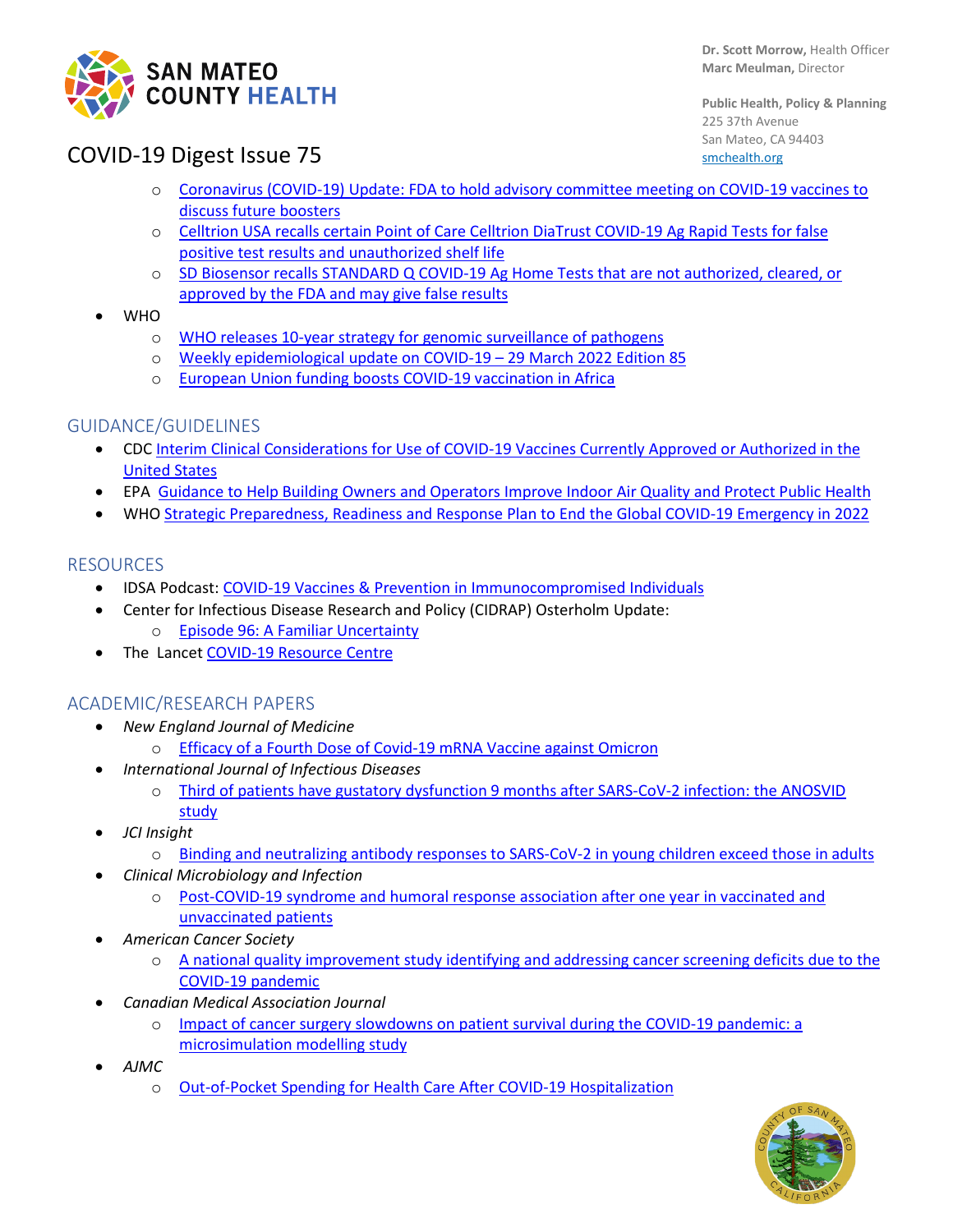

**Dr. Scott Morrow,** Health Officer **Marc Meulman,** Director

**Public Health, Policy & Planning** 225 37th Avenue San Mateo, CA 94403 [smchealth.org](https://www.smchealth.org/)

## COVID-19 Digest Issue 75

- o [Coronavirus \(COVID-19\) Update: FDA to hold advisory committee meeting on COVID-19 vaccines to](https://www.fda.gov/news-events/press-announcements/coronavirus-covid-19-update-fda-hold-advisory-committee-meeting-covid-19-vaccines-discuss-future)  [discuss future boosters](https://www.fda.gov/news-events/press-announcements/coronavirus-covid-19-update-fda-hold-advisory-committee-meeting-covid-19-vaccines-discuss-future)
- o [Celltrion USA recalls certain Point of Care Celltrion DiaTrust COVID-19 Ag Rapid Tests for false](https://www.fda.gov/medical-devices/medical-device-recalls/celltrion-usa-recalls-certain-point-care-celltrion-diatrust-covid-19-ag-rapid-tests-false-positive)  [positive test results and unauthorized shelf life](https://www.fda.gov/medical-devices/medical-device-recalls/celltrion-usa-recalls-certain-point-care-celltrion-diatrust-covid-19-ag-rapid-tests-false-positive)
- o [SD Biosensor recalls STANDARD Q COVID-19 Ag Home Tests that are not authorized, cleared, or](https://www.fda.gov/medical-devices/medical-device-recalls/sd-biosensor-recalls-standard-q-covid-19-ag-home-tests-are-not-authorized-cleared-or-approved-fda)  [approved by the FDA and may give false results](https://www.fda.gov/medical-devices/medical-device-recalls/sd-biosensor-recalls-standard-q-covid-19-ag-home-tests-are-not-authorized-cleared-or-approved-fda)
- WHO
	- o [WHO releases 10-year strategy for genomic surveillance of pathogens](https://www.who.int/news/item/30-03-2022-who-releases-10-year-strategy-for-genomic-surveillance-of-pathogens)
	- o [Weekly epidemiological update on COVID-19 –](https://www.who.int/publications/m/item/weekly-epidemiological-update-on-covid-19---29-march-2022) 29 March 2022 Edition 85
	- o [European Union funding boosts COVID-19 vaccination in Africa](https://www.who.int/news/item/29-03-2022-european-union-funding-boosts-covid-19-vaccination-in-africa)

### GUIDANCE/GUIDELINES

- CDC [Interim Clinical Considerations for Use of COVID-19 Vaccines Currently Approved or Authorized in the](https://www.cdc.gov/vaccines/covid-19/clinical-considerations/interim-considerations-us.html#covid-vaccines)  [United States](https://www.cdc.gov/vaccines/covid-19/clinical-considerations/interim-considerations-us.html#covid-vaccines)
- EPA [Guidance to Help Building Owners and Operators Improve Indoor Air Quality and Protect Public Health](https://www.epa.gov/indoor-air-quality-iaq/clean-air-buildings-challenge)
- WH[O Strategic Preparedness, Readiness and Response Plan to End the Global COVID-19 Emergency in 2022](https://www.who.int/publications/m/item/strategic-preparedness-readiness-and-response-plan-to-end-the-global-covid-19-emergency-in-2022)

### RESOURCES

- IDSA Podcast: [COVID-19 Vaccines & Prevention in Immunocompromised Individuals](https://www.idsociety.org/multimedia/podcasts/covid-19-vaccines-prevention-in-immunocompromised-individuals/)
- Center for Infectious Disease Research and Policy (CIDRAP) Osterholm Update:
	- o [Episode 96: A Familiar Uncertainty](https://www.cidrap.umn.edu/covid-19/podcasts-webinars/episode-96)
- The Lancet [COVID-19 Resource Centre](https://www.thelancet.com/coronavirus?dgcid=kr_pop-up_tlcoronavirus20)

#### ACADEMIC/RESEARCH PAPERS

- *New England Journal of Medicine*
	- o [Efficacy of a Fourth Dose of Covid-19 mRNA Vaccine against Omicron](https://www.nejm.org/doi/full/10.1056/NEJMc2202542?query=featured_coronavirus)
- *International Journal of Infectious Diseases*
	- o [Third of patients have gustatory dysfunction 9 months after SARS-CoV-2 infection: the ANOSVID](https://www.ijidonline.com/article/S1201-9712(22)00193-X/fulltext)  [study](https://www.ijidonline.com/article/S1201-9712(22)00193-X/fulltext)
- *JCI Insight*
	- o [Binding and neutralizing antibody responses to SARS-CoV-2 in young children exceed those in adults](https://insight.jci.org/articles/view/157963)
- *Clinical Microbiology and Infection*
	- o [Post-COVID-19 syndrome and humoral response association after one year in vaccinated and](https://www.clinicalmicrobiologyandinfection.com/article/S1198-743X(22)00155-0/fulltext)  [unvaccinated patients](https://www.clinicalmicrobiologyandinfection.com/article/S1198-743X(22)00155-0/fulltext)
- *American Cancer Society*
	- o [A national quality improvement study identifying and addressing cancer screening deficits due to the](https://acsjournals.onlinelibrary.wiley.com/doi/10.1002/cncr.34157)  [COVID-19 pandemic](https://acsjournals.onlinelibrary.wiley.com/doi/10.1002/cncr.34157)
- *Canadian Medical Association Journal*
	- o [Impact of cancer surgery slowdowns on patient survival during the COVID-19 pandemic: a](https://www.cmaj.ca/content/194/11/E408)  [microsimulation modelling study](https://www.cmaj.ca/content/194/11/E408)
- *AJMC*
	- o [Out-of-Pocket Spending for Health Care After COVID-19 Hospitalization](https://www.ajmc.com/view/out-of-pocket-spending-for-health-care-after-covid-19-hospitalization)

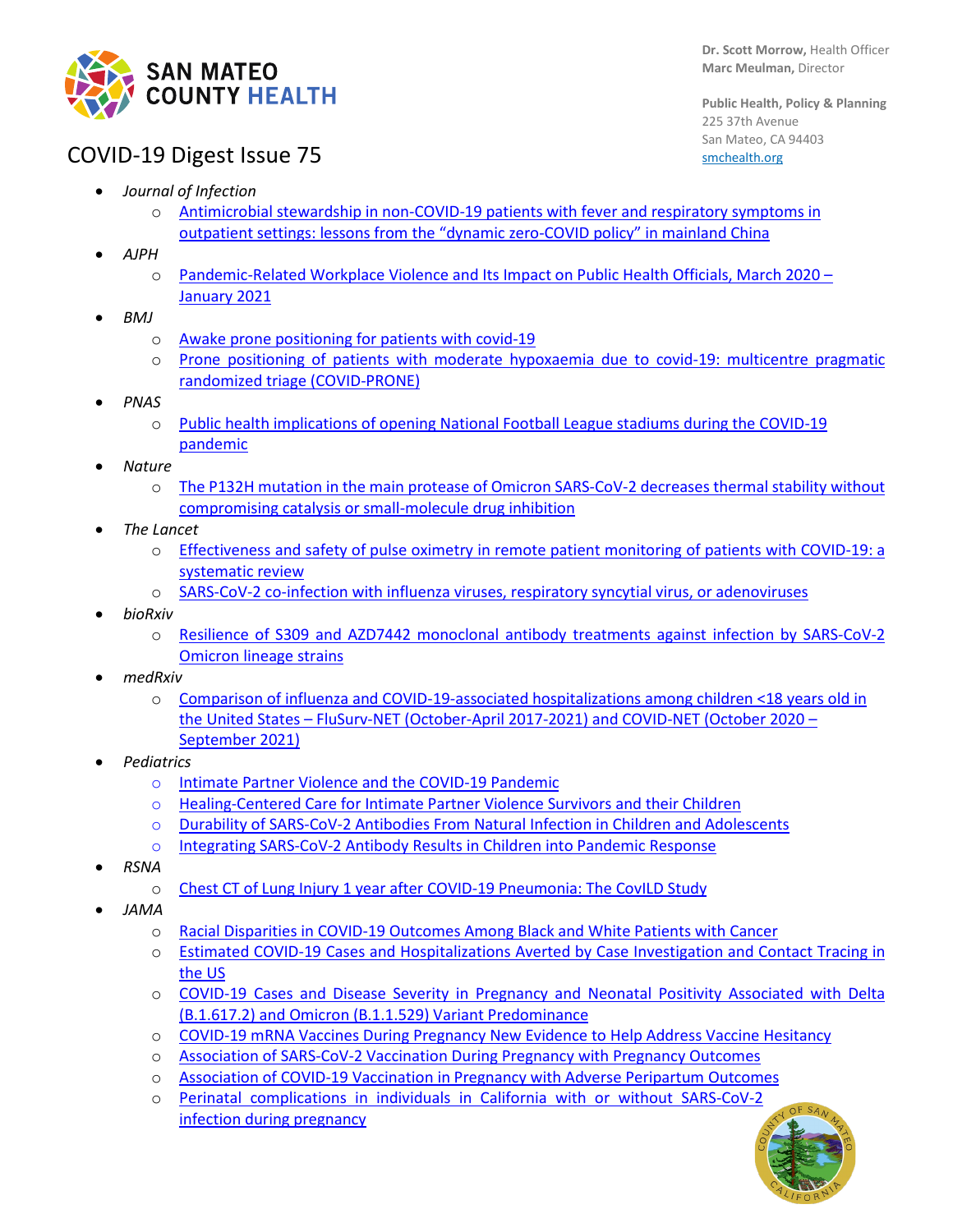

**Public Health, Policy & Planning** 225 37th Avenue San Mateo, CA 94403 [smchealth.org](https://www.smchealth.org/)

## COVID-19 Digest Issue 75

- *Journal of Infection* 
	- Antimicrobial stewardship in non-COVID-19 patients with fever and respiratory symptoms in [outpatient settings: lessons from the "dynamic zero-COVID policy" in mainland China](https://www.journalofinfection.com/article/S0163-4453(22)00141-4/fulltext)
- *AJPH*
	- o [Pandemic-Related Workplace Violence and Its Impact on Public Health Officials, March 2020 –](https://ajph.aphapublications.org/doi/10.2105/AJPH.2021.306649) [January 2021](https://ajph.aphapublications.org/doi/10.2105/AJPH.2021.306649)
- *BMJ*
	- o [Awake prone positioning for patients with covid-19](https://www.bmj.com/content/376/bmj.o632)
	- o [Prone positioning of patients with moderate hypoxaemia due to covid-19: multicentre pragmatic](https://www.bmj.com/content/376/bmj-2021-068585.short)  [randomized triage \(COVID-PRONE\)](https://www.bmj.com/content/376/bmj-2021-068585.short)
- *PNAS*
	- o [Public health implications of opening National Football League stadiums during the COVID-19](https://www.pnas.org/doi/full/10.1073/pnas.2114226119)  [pandemic](https://www.pnas.org/doi/full/10.1073/pnas.2114226119)
- *Nature*
	- o The P132H [mutation in the main protease of Omicron SARS-CoV-2 decreases thermal stability without](https://www.nature.com/articles/s41422-022-00640-y.pdf)  [compromising catalysis or small-molecule drug inhibition](https://www.nature.com/articles/s41422-022-00640-y.pdf)
- *The Lancet*
	- o [Effectiveness and safety of pulse oximetry in remote patient monitoring of patients with COVID-19: a](https://www.thelancet.com/journals/landig/article/PIIS2589-7500(21)00276-4/fulltext)  [systematic review](https://www.thelancet.com/journals/landig/article/PIIS2589-7500(21)00276-4/fulltext)
	- o SARS-CoV-2 [co-infection with influenza viruses, respiratory syncytial virus, or adenoviruses](https://www.thelancet.com/journals/lancet/article/PIIS0140-6736(22)00383-X/fulltext)
- *bioRxiv*
	- o Resilience of S309 [and AZD7442 monoclonal antibody treatments against infection by SARS-CoV-2](https://www.biorxiv.org/content/10.1101/2022.03.17.484787v1)  [Omicron lineage strains](https://www.biorxiv.org/content/10.1101/2022.03.17.484787v1)
- *medRxiv*
	- o [Comparison of influenza and COVID-19-associated hospitalizations](https://www.medrxiv.org/content/10.1101/2022.03.09.22271788v1?ACSTrackingID=FCP_1_USCDC_7_3-DM78154&ACSTrackingLabel=%5BProof%201%5D%20New%20CDC%20Study%20Compares%20Flu%20and%20COVID-19%20Hospitalizations%20Rates%20in%20Kids&deliveryName=FCP_1_USCDC_7_3-DM78154&ACSTrackingID=USCDC_7_3-DM78154&ACSTrackingLabel=New%20CDC%20Study%20Compares%20Flu%20and%20COVID-19%20Hospitalizations%20Rates%20in%20Kids&deliveryName=USCDC_7_3-DM78154) among children <18 years old in the United States – [FluSurv-NET \(October-April 2017-2021\) and COVID-NET \(October 2020 –](https://www.medrxiv.org/content/10.1101/2022.03.09.22271788v1?ACSTrackingID=FCP_1_USCDC_7_3-DM78154&ACSTrackingLabel=%5BProof%201%5D%20New%20CDC%20Study%20Compares%20Flu%20and%20COVID-19%20Hospitalizations%20Rates%20in%20Kids&deliveryName=FCP_1_USCDC_7_3-DM78154&ACSTrackingID=USCDC_7_3-DM78154&ACSTrackingLabel=New%20CDC%20Study%20Compares%20Flu%20and%20COVID-19%20Hospitalizations%20Rates%20in%20Kids&deliveryName=USCDC_7_3-DM78154) [September 2021\)](https://www.medrxiv.org/content/10.1101/2022.03.09.22271788v1?ACSTrackingID=FCP_1_USCDC_7_3-DM78154&ACSTrackingLabel=%5BProof%201%5D%20New%20CDC%20Study%20Compares%20Flu%20and%20COVID-19%20Hospitalizations%20Rates%20in%20Kids&deliveryName=FCP_1_USCDC_7_3-DM78154&ACSTrackingID=USCDC_7_3-DM78154&ACSTrackingLabel=New%20CDC%20Study%20Compares%20Flu%20and%20COVID-19%20Hospitalizations%20Rates%20in%20Kids&deliveryName=USCDC_7_3-DM78154)
- *Pediatrics*
	- o [Intimate Partner Violence and the COVID-19 Pandemic](https://publications.aap.org/pediatrics/article/doi/10.1542/peds.2021-055792/185448/Intimate-Partner-Violence-and-the-COVID-19)
	- o Healing-Centered Care for [Intimate Partner Violence Survivors and their Children](https://publications.aap.org/pediatrics/article/doi/10.1542/peds.2022-056980/185449/Healing-Centered-Care-for-Intimate-Partner)
	- o [Durability of SARS-CoV-2 Antibodies From Natural Infection in Children and Adolescents](https://publications.aap.org/pediatrics/article/doi/10.1542/peds.2021-055505/185412/Durability-of-SARS-CoV-2-Antibodies-From-Natural)
	- o [Integrating SARS-CoV-2 Antibody Results in Children into Pandemic Response](https://publications.aap.org/pediatrics/article/doi/10.1542/peds.2022-056288/185413/Integrating-SARS-CoV-2-Antibody-Results-in)
- *RSNA*
	- o [Chest CT of Lung Injury 1 year after COVID-19 Pneumonia: The CovILD Study](https://pubs.rsna.org/doi/10.1148/radiol.211670)
- *JAMA*
	- o [Racial Disparities in COVID-19 Outcomes Among Black and White Patients with Cancer](https://jamanetwork.com/journals/jamanetworkopen/fullarticle/2790424)
	- o [Estimated COVID-19 Cases and Hospitalizations Averted by Case Investigation and Contact Tracing in](https://jamanetwork.com/journals/jamanetworkopen/fullarticle/2790518)  [the US](https://jamanetwork.com/journals/jamanetworkopen/fullarticle/2790518)
	- o [COVID-19 Cases and Disease Severity in Pregnancy and Neonatal Positivity Associated with Delta](https://jamanetwork.com/journals/jama/fullarticle/2790609)  [\(B.1.617.2\) and Omicron \(B.1.1.529\) Variant Predominance](https://jamanetwork.com/journals/jama/fullarticle/2790609)
	- o [COVID-19 mRNA Vaccines During Pregnancy New Evidence to Help Address Vaccine Hesitancy](https://jamanetwork.com/journals/jama/fullarticle/2790610)
	- o [Association of SARS-CoV-2 Vaccination During Pregnancy with Pregnancy Outcomes](https://jamanetwork.com/journals/jama/fullarticle/2790608)
	- o [Association of COVID-19 Vaccination in Pregnancy with Adverse Peripartum Outcomes](https://jamanetwork.com/journals/jama/fullarticle/2790607)
	- o [Perinatal complications in individuals in California with or without SARS-CoV-2](https://jamanetwork.com/journals/jamainternalmedicine/fullarticle/2790318)  [infection during pregnancy](https://jamanetwork.com/journals/jamainternalmedicine/fullarticle/2790318)

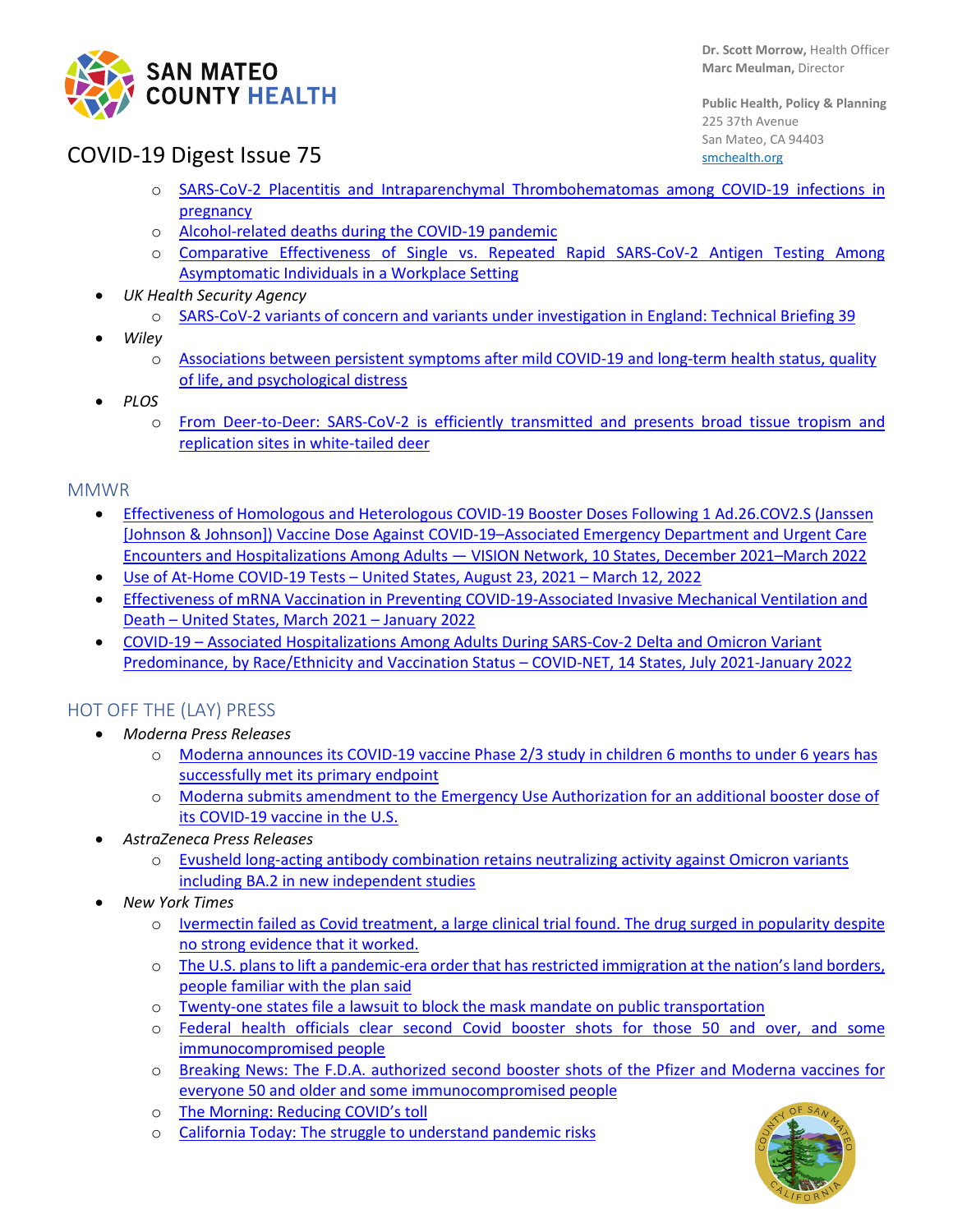

**Public Health, Policy & Planning** 225 37th Avenue San Mateo, CA 94403 [smchealth.org](https://www.smchealth.org/)

# COVID-19 Digest Issue 75

- o [SARS-CoV-2 Placentitis and Intraparenchymal Thrombohematomas among COVID-19 infections in](https://jamanetwork.com/journals/jamanetworkopen/fullarticle/2790175)  [pregnancy](https://jamanetwork.com/journals/jamanetworkopen/fullarticle/2790175)
- o [Alcohol-related deaths during the COVID-19 pandemic](https://jamanetwork.com/journals/jama/fullarticle/2790491)
- o [Comparative Effectiveness of Single vs. Repeated Rapid SARS-CoV-2 Antigen Testing Among](https://jamanetwork.com/journals/jamanetworkopen/fullarticle/2790263)  [Asymptomatic Individuals in a Workplace Setting](https://jamanetwork.com/journals/jamanetworkopen/fullarticle/2790263)
- *UK Health Security Agency* 
	- o [SARS-CoV-2 variants of concern and variants under investigation in England: Technical Briefing](https://assets.publishing.service.gov.uk/government/uploads/system/uploads/attachment_data/file/1063424/Tech-Briefing-39-25March2022_FINAL.pdf) 39
- *Wiley*
	- o [Associations between persistent symptoms after mild COVID-19 and long-term health status, quality](https://onlinelibrary.wiley.com/doi/10.1111/irv.12980)  [of life, and psychological distress](https://onlinelibrary.wiley.com/doi/10.1111/irv.12980)
- *PLOS*
	- o [From Deer-to-Deer: SARS-CoV-2 is efficiently transmitted and presents broad tissue tropism and](https://journals.plos.org/plospathogens/article?id=10.1371/journal.ppat.1010197)  [replication sites in white-tailed deer](https://journals.plos.org/plospathogens/article?id=10.1371/journal.ppat.1010197)

#### MMWR

- [Effectiveness of Homologous and Heterologous COVID-19 Booster Doses Following 1 Ad.26.COV2.S \(Janssen](https://www.cdc.gov/mmwr/volumes/71/wr/mm7113e2.htm?s_cid=mm7113e2_e&ACSTrackingID=USCDC_921-DM78711&ACSTrackingLabel=MMWR%20Early%20Release%20-%20Vol.%2071%2C%20March%2029%2C%202022&deliveryName=USCDC_921-DM78711)  [\[Johnson & Johnson\]\) Vaccine Dose Against COVID-19–Associated Emergency Department and Urgent Care](https://www.cdc.gov/mmwr/volumes/71/wr/mm7113e2.htm?s_cid=mm7113e2_e&ACSTrackingID=USCDC_921-DM78711&ACSTrackingLabel=MMWR%20Early%20Release%20-%20Vol.%2071%2C%20March%2029%2C%202022&deliveryName=USCDC_921-DM78711)  Encounters and Hospitalizations Among Adults — [VISION Network, 10 States, December 2021–March 2022](https://www.cdc.gov/mmwr/volumes/71/wr/mm7113e2.htm?s_cid=mm7113e2_e&ACSTrackingID=USCDC_921-DM78711&ACSTrackingLabel=MMWR%20Early%20Release%20-%20Vol.%2071%2C%20March%2029%2C%202022&deliveryName=USCDC_921-DM78711)
- [Use of At-Home COVID-19 Tests –](https://www.cdc.gov/mmwr/volumes/71/wr/mm7113e1.htm?s_cid=mm7113e1_e&ACSTrackingID=USCDC_921-DM78536&ACSTrackingLabel=MMWR%20Early%20Release%20-%20Vol.%2071%2C%20March%2025%2C%202022&deliveryName=USCDC_921-DM78536) United States, August 23, 2021 March 12, 2022
- [Effectiveness of mRNA Vaccination in Preventing COVID-19-Associated Invasive Mechanical Ventilation and](https://www.cdc.gov/mmwr/volumes/71/wr/mm7112e1.htm?s_cid=mm7112e1_w)  Death – [United States, March 2021 –](https://www.cdc.gov/mmwr/volumes/71/wr/mm7112e1.htm?s_cid=mm7112e1_w) January 2022
- COVID-19 [Associated Hospitalizations Among Adults During SARS-Cov-2 Delta and Omicron Variant](https://www.cdc.gov/mmwr/volumes/71/wr/mm7112e2.htm?s_cid=mm7112e2_w)  [Predominance, by Race/Ethnicity and Vaccination Status –](https://www.cdc.gov/mmwr/volumes/71/wr/mm7112e2.htm?s_cid=mm7112e2_w) COVID-NET, 14 States, July 2021-January 2022

### HOT OFF THE (LAY) PRESS

- *Moderna Press Releases*
	- o [Moderna announces its COVID-19 vaccine Phase 2/3 study in children 6 months to under 6 years has](https://investors.modernatx.com/news/news-details/2022/Moderna-Announces-its-COVID-19-Vaccine-Phase-23-Study-in-Children-6-Months-to-Under-6-Years-Has-Successfully-Met-Its-Primary-Endpoint/default.aspx)  [successfully met its primary endpoint](https://investors.modernatx.com/news/news-details/2022/Moderna-Announces-its-COVID-19-Vaccine-Phase-23-Study-in-Children-6-Months-to-Under-6-Years-Has-Successfully-Met-Its-Primary-Endpoint/default.aspx)
	- Moderna submits amendment to the Emergency Use Authorization for an additional booster dose of [its COVID-19 vaccine in the U.S.](https://investors.modernatx.com/news/news-details/2022/Moderna-Submits-Amendment-to-the-Emergency-Use-Authorization-for-an-Additional-Booster-Dose-of-its-COVID-19-Vaccine-in-the-U.S/default.aspx)
- *AstraZeneca Press Releases*
	- o [Evusheld long-acting antibody combination retains neutralizing activity against Omicron variants](https://www.astrazeneca.com/media-centre/medical-releases/evusheld-long-acting-antibody-combination-retains-neutralising-activity-against-omicron-variants-including-ba2-in-new-independent-studies.html)  [including BA.2 in new independent studies](https://www.astrazeneca.com/media-centre/medical-releases/evusheld-long-acting-antibody-combination-retains-neutralising-activity-against-omicron-variants-including-ba2-in-new-independent-studies.html)
- *New York Times*
	- o [Ivermectin failed as Covid treatment, a large clinical trial found. The drug surged in popularity despite](https://www.nytimes.com/2022/03/30/health/covid-ivermectin-hospitalization.html?campaign_id=60&emc=edit_na_20220330&instance_id=0&nl=breaking-news&ref=cta®i_id=130283546&segment_id=87050&user_id=d8aa95be707fe46c27653a88d04e4dc0)  [no strong evidence that it worked.](https://www.nytimes.com/2022/03/30/health/covid-ivermectin-hospitalization.html?campaign_id=60&emc=edit_na_20220330&instance_id=0&nl=breaking-news&ref=cta®i_id=130283546&segment_id=87050&user_id=d8aa95be707fe46c27653a88d04e4dc0)
	- o [The U.S. plans to lift a pandemic-era order that has restricted immigration at the nation's land borders,](https://www.nytimes.com/live/2022/03/30/world/covid-19-mandates-cases-vaccine?campaign_id=60&emc=edit_na_20220330&instance_id=0&nl=breaking-news&ref=cta®i_id=130283546&segment_id=87035&user_id=d8aa95be707fe46c27653a88d04e4dc0#the-biden-administration-plans-to-stop-turning-away-immigrants-under-a-public-health-rule-in-may)  [people familiar with the plan said](https://www.nytimes.com/live/2022/03/30/world/covid-19-mandates-cases-vaccine?campaign_id=60&emc=edit_na_20220330&instance_id=0&nl=breaking-news&ref=cta®i_id=130283546&segment_id=87035&user_id=d8aa95be707fe46c27653a88d04e4dc0#the-biden-administration-plans-to-stop-turning-away-immigrants-under-a-public-health-rule-in-may)
	- o [Twenty-one states file a lawsuit to block the mask mandate on public transportation](https://www.nytimes.com/2022/03/29/us/twenty-one-states-file-a-lawsuit-to-block-the-mask-mandate-on-public-transportation.html)
	- o [Federal health officials clear second Covid booster shots for those 50 and over, and some](https://www.nytimes.com/2022/03/29/us/politics/the-fda-authorizes-second-covid-booster-shots-for-those-50-and-older.html)  [immunocompromised people](https://www.nytimes.com/2022/03/29/us/politics/the-fda-authorizes-second-covid-booster-shots-for-those-50-and-older.html)
	- o [Breaking News: The F.D.A. authorized second booster shots of the Pfizer and Moderna vaccines for](https://www.nytimes.com/live/2022/03/29/world/covid-19-mandates-cases-vaccine?campaign_id=60&emc=edit_na_20220329&instance_id=0&nl=breaking-news&ref=cta®i_id=130283546&segment_id=86892&user_id=d8aa95be707fe46c27653a88d04e4dc0#the-fda-authorizes-second-covid-booster-shots-for-those-50-and-older)  [everyone 50 and older and some immunocompromised people](https://www.nytimes.com/live/2022/03/29/world/covid-19-mandates-cases-vaccine?campaign_id=60&emc=edit_na_20220329&instance_id=0&nl=breaking-news&ref=cta®i_id=130283546&segment_id=86892&user_id=d8aa95be707fe46c27653a88d04e4dc0#the-fda-authorizes-second-covid-booster-shots-for-those-50-and-older)
	- o [The Morning: Reducing COVID's toll](https://messaging-custom-newsletters.nytimes.com/template/oakv2?campaign_id=9&emc=edit_nn_20220328&instance_id=56905&nl=the-morning&productCode=NN®i_id=130283546&segment_id=86760&te=1&uri=nyt%3A%2F%2Fnewsletter%2F339b49f9-3aad-5880-ae26-1ecbce0e2666&user_id=d8aa95be707fe46c27653a88d04e4dc0)
	- o [California Today: The struggle to understand pandemic risks](https://messaging-custom-newsletters.nytimes.com/template/oakv2?campaign_id=49&emc=edit_ca_20220328&instance_id=56915&nl=california-today&productCode=CA®i_id=130283546&segment_id=86770&te=1&uri=nyt%3A%2F%2Fnewsletter%2F6096df49-0915-5b60-8a17-19b1e07f9e27&user_id=d8aa95be707fe46c27653a88d04e4dc0)

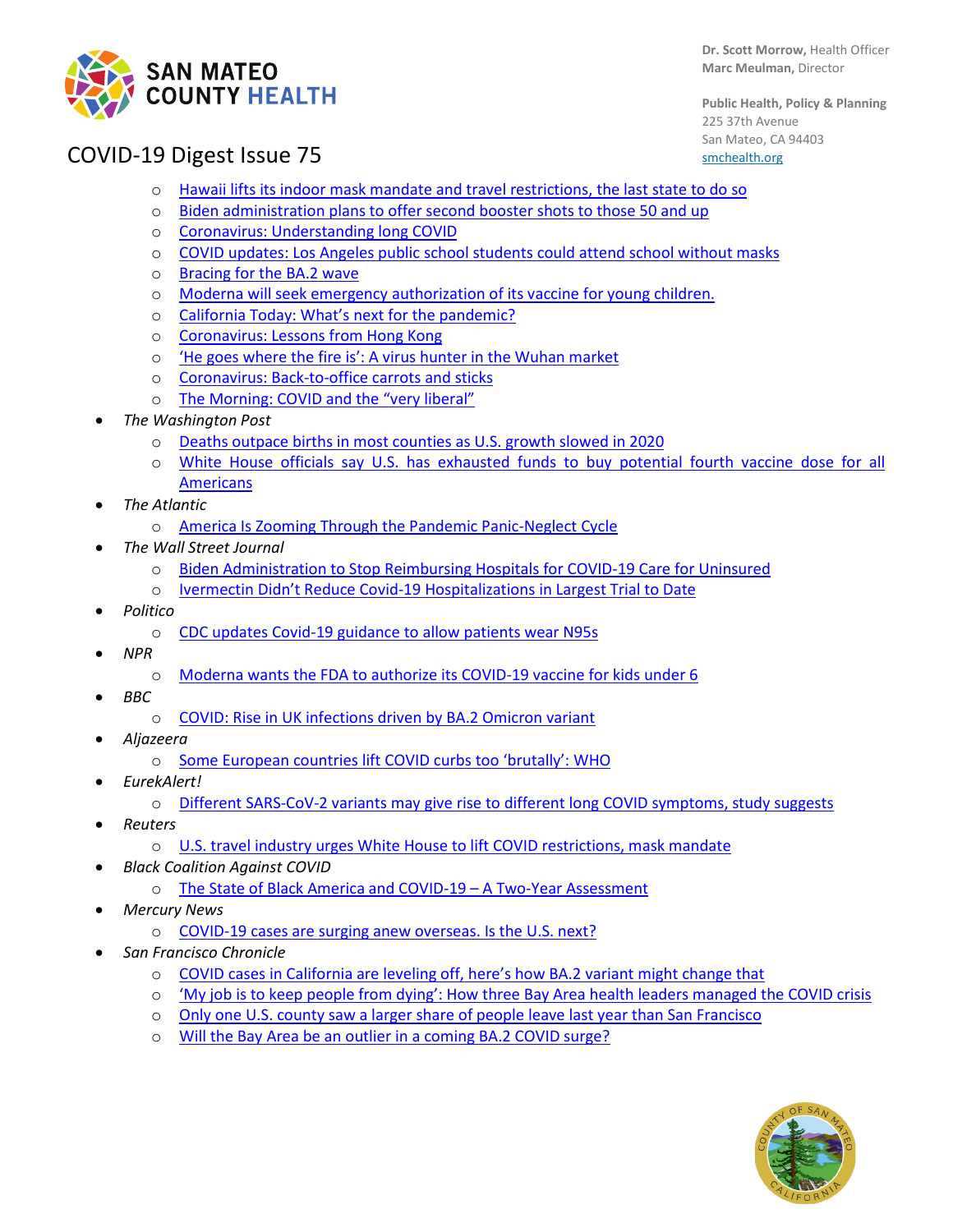

**Dr. Scott Morrow,** Health Officer **Marc Meulman,** Director

**Public Health, Policy & Planning** 225 37th Avenue San Mateo, CA 94403 [smchealth.org](https://www.smchealth.org/)

# COVID-19 Digest Issue 75

- o [Hawaii lifts its indoor mask mandate and travel restrictions, the last state to do so](https://www.nytimes.com/live/2022/03/26/world/covid-19-mandates-cases-vaccine#hawaii-lifts-its-indoor-mask-mandate-and-travel-restrictions-the-last-state-to-do-so)
- o [Biden administration plans to offer second booster shots to those 50 and up](https://www.nytimes.com/2022/03/25/us/politics/biden-second-booster-shot-older-americans.html)
- o [Coronavirus: Understanding long COVID](https://messaging-custom-newsletters.nytimes.com/template/oakv2?campaign_id=154&emc=edit_cb_20220325&instance_id=56780&nl=coronavirus-briefing&productCode=CB®i_id=130283546&segment_id=86616&te=1&uri=nyt%3A%2F%2Fnewsletter%2Fb6198ce9-0fb6-544d-bf2e-84254b88bae1&user_id=d8aa95be707fe46c27653a88d04e4dc0)
- o [COVID updates: Los Angeles public school students could attend school without masks](https://www.nytimes.com/live/2022/03/23/world/covid-19-mandates-cases-vaccine?campaign_id=60&emc=edit_na_20220323&instance_id=0&nl=breaking-news&ref=cta®i_id=130283546&segment_id=86276&user_id=d8aa95be707fe46c27653a88d04e4dc0#moderna-emergency-authorization-vaccine-young-children)
- o [Bracing for the BA.2 wave](https://messaging-custom-newsletters.nytimes.com/template/oakv2?campaign_id=154&emc=edit_cb_20220323&instance_id=56552&nl=coronavirus-briefing&productCode=CB®i_id=130283546&segment_id=86372&te=1&uri=nyt%3A%2F%2Fnewsletter%2Ff32fc81c-864e-573b-98ce-eefb1aabc8c1&user_id=d8aa95be707fe46c27653a88d04e4dc0)
- o [Moderna will seek emergency authorization of its vaccine for young children.](https://www.nytimes.com/2022/03/23/science/moderna-emergency-authorization-vaccine-young-children.html)
- o [California Today: What's next for the pandemic?](https://messaging-custom-newsletters.nytimes.com/template/oakv2?campaign_id=49&emc=edit_ca_20220322&instance_id=56378&nl=california-today&productCode=CA®i_id=130283546&segment_id=86195&te=1&uri=nyt%3A%2F%2Fnewsletter%2F2bbe76ba-0c52-5790-8f7f-7f0f98449859&user_id=d8aa95be707fe46c27653a88d04e4dc0)
- o [Coronavirus: Lessons from Hong Kong](https://messaging-custom-newsletters.nytimes.com/template/oakv2?campaign_id=154&emc=edit_cb_20220321&instance_id=56329&nl=coronavirus-briefing&productCode=CB®i_id=130283546&segment_id=86142&te=1&uri=nyt%3A%2F%2Fnewsletter%2Fc1528b10-92c4-5ebf-8351-bdfcbbc521bc&user_id=d8aa95be707fe46c27653a88d04e4dc0)
- o ['He goes where the fire is': A virus hunter in the Wuhan market](https://www.nytimes.com/2022/03/21/health/covid-lab-leak-eddie-holmes.html?campaign_id=61&emc=edit_ts_20220321&instance_id=56308&nl=the-great-read®i_id=50143711&segment_id=86128&te=1&user_id=76b0e58c87ce9b677e5e3efd8b84d7fb)
- o [Coronavirus: Back-to-office carrots and sticks](https://messaging-custom-newsletters.nytimes.com/template/oakv2?campaign_id=154&emc=edit_cb_20220318&instance_id=56160&nl=coronavirus-briefing&productCode=CB®i_id=130283546&segment_id=85957&te=1&uri=nyt%3A%2F%2Fnewsletter%2F638dca68-3318-5f73-9fbf-e534b299ce54&user_id=d8aa95be707fe46c27653a88d04e4dc0)
- o [The Morning: COVID and the "very liberal"](https://messaging-custom-newsletters.nytimes.com/template/oakv2?campaign_id=9&emc=edit_nn_20220318&instance_id=56102&nl=the-morning&productCode=NN®i_id=130283546&segment_id=85903&te=1&uri=nyt%3A%2F%2Fnewsletter%2Fe4c7df77-35ff-5b69-8473-a882bca992b6&user_id=d8aa95be707fe46c27653a88d04e4dc0)
- *The Washington Post*
	- o [Deaths outpace births in most counties as U.S. growth slowed in 2020](https://www.washingtonpost.com/dc-md-va/2022/03/24/census-population-counties-cities-covid/)
	- o [White House officials say U.S. has exhausted funds to buy potential fourth vaccine dose for all](https://www.washingtonpost.com/health/2022/03/22/funding-fourth-vaccine-doses/)  [Americans](https://www.washingtonpost.com/health/2022/03/22/funding-fourth-vaccine-doses/)
- *The Atlantic*
	- o [America Is Zooming Through the Pandemic Panic-Neglect Cycle](https://www.theatlantic.com/health/archive/2022/03/congress-covid-spending-bill/627090/)
- *The Wall Street Journal*
	- o [Biden Administration to Stop Reimbursing Hospitals for COVID-19 Care for Uninsured](https://www.wsj.com/articles/biden-administration-to-stop-reimbursing-hospitals-for-covid-19-care-for-uninsured-11647955166)
	- o [Ivermectin Didn't Reduce Covid-19 Hospitalizations in Largest Trial to Date](https://www.wsj.com/articles/ivermectin-didnt-reduce-covid-19-hospitalizations-in-largest-trial-to-date-11647601200?page=1)
- *Politico*
	- o [CDC updates Covid-19 guidance to allow patients wear N95s](https://www.politico.com/news/2022/03/24/cdc-updates-covid-19-guidance-to-allow-patients-wear-n95s-00020342)
- *NPR*
	- o [Moderna wants the FDA to authorize its COVID-19 vaccine for kids under 6](https://www.npr.org/2022/03/23/1088167753/moderna-covid-19-vaccine-children-fda)
- *BBC*
	- o [COVID: Rise in UK infections driven by BA.2 Omicron variant](https://www.bbc.com/news/health-60792087)
- *Aljazeera*
	- o [Some European countries lift COVID curbs too 'brutally': WHO](https://www.aljazeera.com/news/2022/3/22/some-eu-countries-lift-covid-restrictions-too-brutally-who)
- *EurekAlert!*
	- o [Different SARS-CoV-2 variants may give rise to different long COVID symptoms, study suggests](https://www.eurekalert.org/news-releases/947495)
- *Reuters*
	- o [U.S. travel industry urges White House to lift COVID restrictions, mask mandate](https://www.reuters.com/world/us/us-travel-industry-urges-white-house-lift-covid-restrictions-mask-mandate-2022-03-22/)
- *Black Coalition Against COVID*
	- o [The State of Black America and COVID-19 –](https://blackcoalitionagainstcovid.org/the-state-of-black-america-and-covid-19/) A Two-Year Assessment
- *Mercury News*
	- o [COVID-19 cases are surging anew overseas. Is the U.S. next?](https://www.mercurynews.com/2022/03/20/covid-19-cases-are-surging-anew-overseas-is-the-u-s-next/?utm_email=9443344195C484089543749147&g2i_eui=8iqHbIQxP7BUpdP4jdDzcqlggMzgGwfQ&g2i_source=newsletter&lctg=9443344195C484089543749147&active=no&utm_source=listrak&utm_medium=email&utm_term=https%3a%2f%2fwww.mercurynews.com%2f2022%2f03%2f20%2fcovid-19-cases-are-surging-anew-overseas-is-the-u-s-next%2f&utm_campaign=bang-mult-nl-morning-report-nl&utm_content=manual)
- *San Francisco Chronicle* 
	- o [COVID cases in California are leveling off, here's how BA.2 variant might change that](https://www.sfchronicle.com/health/article/One-of-the-calmest-moments-so-far-but-Bay-17037530.php)<br>  $\circ$  'My job is to keep people from dving': How three Bay Area health leaders managed to
	- ['My job is to keep people from dying': How three Bay Area health leaders managed the COVID crisis](https://www.sfchronicle.com/health/article/My-job-is-to-keep-people-from-dying-How-17027443.php)
	- o [Only one U.S. county saw a larger share of people leave last year than San Francisco](https://www.sfchronicle.com/sf/article/Only-one-U-S-county-saw-a-larger-share-of-people-17026658.php)
	- o [Will the Bay Area be an outlier in a coming BA.2 COVID surge?](https://www.sfchronicle.com/health/article/Can-the-Bay-Area-avoid-a-BA-2-COVID-surge-17021124.php)